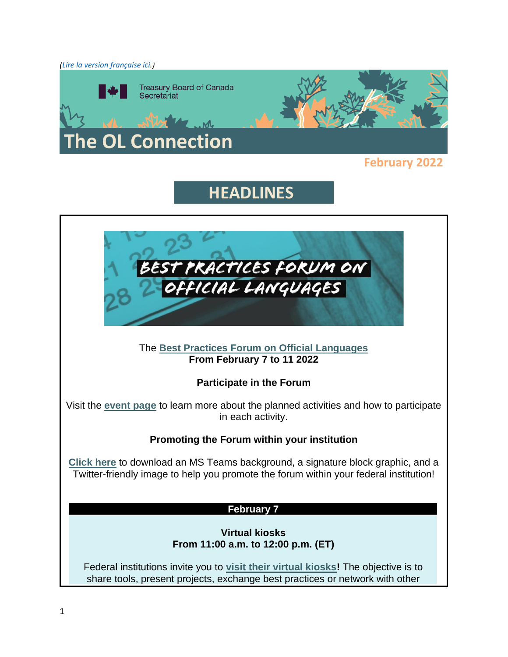

### **February 2022**

# **HEADLINES**

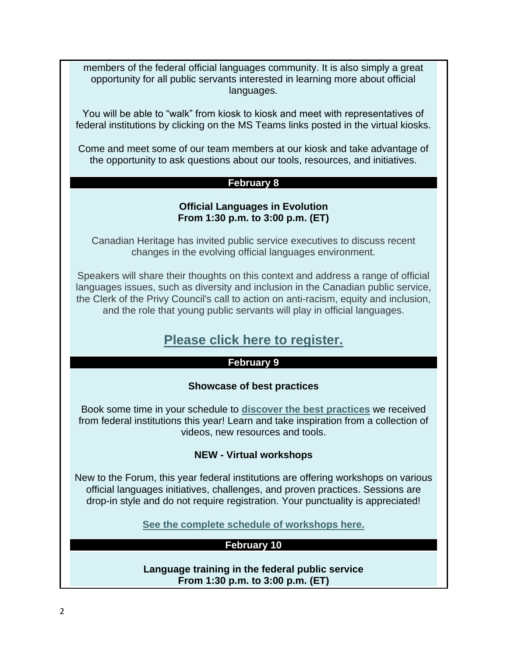members of the federal official languages community. It is also simply a great opportunity for all public servants interested in learning more about official languages.

You will be able to "walk" from kiosk to kiosk and meet with representatives of federal institutions by clicking on the MS Teams links posted in the virtual kiosks.

Come and meet some of our team members at our kiosk and take advantage of the opportunity to ask questions about our tools, resources, and initiatives.

#### **February 8**

### **Official Languages in Evolution From 1:30 p.m. to 3:00 p.m. (ET)**

Canadian Heritage has invited public service executives to discuss recent changes in the evolving official languages environment.

Speakers will share their thoughts on this context and address a range of official languages issues, such as diversity and inclusion in the Canadian public service, the Clerk of the Privy Council's call to action on anti-racism, equity and inclusion, and the role that young public servants will play in official languages.

### **[Please click here to register.](https://www.csps-efpc.gc.ca/events/best-practices-official-lang/index-eng.aspx)**

#### **February 9**

#### **Showcase of best practices**

Book some time in your schedule to **discover [the best practices](https://wiki.gccollab.ca/Best_Practices_Forum_on_Official_Languages/Federal_Institutions_Best_Practices)** we received from federal institutions this year! Learn and take inspiration from a collection of videos, new resources and tools.

### **NEW - Virtual workshops**

New to the Forum, this year federal institutions are offering workshops on various official languages initiatives, challenges, and proven practices. Sessions are drop-in style and do not require registration. Your punctuality is appreciated!

**[See the complete](https://wiki.gccollab.ca/Best_Practices_Forum_on_Official_Languages/Workshops) schedule of workshops here.**

### **February 10**

**Language training in the federal public service From 1:30 p.m. to 3:00 p.m. (ET)**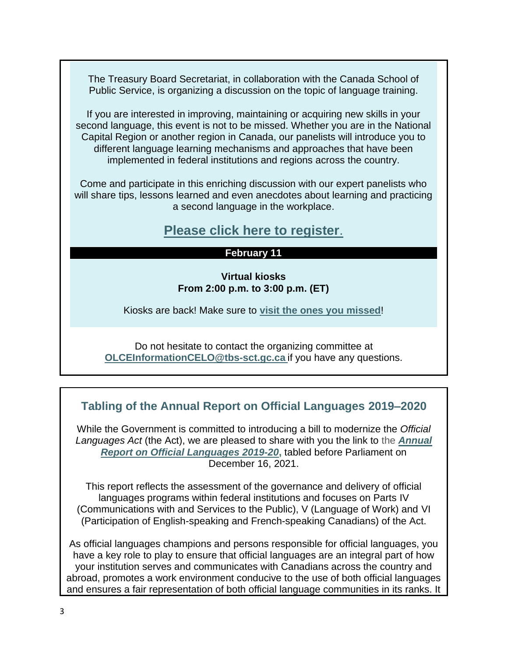The Treasury Board Secretariat, in collaboration with the Canada School of Public Service, is organizing a discussion on the topic of language training.

If you are interested in improving, maintaining or acquiring new skills in your second language, this event is not to be missed. Whether you are in the National Capital Region or another region in Canada, our panelists will introduce you to different language learning mechanisms and approaches that have been implemented in federal institutions and regions across the country.

Come and participate in this enriching discussion with our expert panelists who will share tips, lessons learned and even anecdotes about learning and practicing a second language in the workplace.

# **[Please click here to register](https://www.csps-efpc.gc.ca/events/best-practices-lang-training/index-eng.aspx)**.

### **February 11**

**Virtual kiosks From 2:00 p.m. to 3:00 p.m. (ET)**

Kiosks are back! Make sure to **visit the [ones you missed](https://wiki.gccollab.ca/Best_Practices_Forum_on_Official_Languages/Federal_Institutions_Booths)**!

Do not hesitate to contact the organizing committee at **[OLCEInformationCELO@tbs-sct.gc.ca](mailto:OLCEInformationCELO@tbs-sct.gc.ca)** if you have any questions.

# **Tabling of the Annual Report on Official Languages 2019–2020**

While the Government is committed to introducing a bill to modernize the *Official Languages Act* (the Act), we are pleased to share with you the link to the *[Annual](https://can01.safelinks.protection.outlook.com/?url=https%3A%2F%2Fcanada-preview.adobecqms.net%2Fen%2Ftreasury-board-secretariat%2Fservices%2Fvalues-ethics%2Fofficial-languages%2Freports%2Fannual-report-official-languages-2019-2020.html&data=04%7C01%7CMelanie.Ladouceur%40tbs-sct.gc.ca%7C451e2e37d5644315e39408d9daa83652%7C6397df10459540479c4f03311282152b%7C0%7C0%7C637781238259902725%7CUnknown%7CTWFpbGZsb3d8eyJWIjoiMC4wLjAwMDAiLCJQIjoiV2luMzIiLCJBTiI6Ik1haWwiLCJXVCI6Mn0%3D%7C3000&sdata=T7VAOSbFpL8r7%2FYQxN9ab5fB4%2FN01Qot%2Bly%2FyctMuz4%3D&reserved=0)  [Report on Official Languages 2019-20](https://can01.safelinks.protection.outlook.com/?url=https%3A%2F%2Fcanada-preview.adobecqms.net%2Fen%2Ftreasury-board-secretariat%2Fservices%2Fvalues-ethics%2Fofficial-languages%2Freports%2Fannual-report-official-languages-2019-2020.html&data=04%7C01%7CMelanie.Ladouceur%40tbs-sct.gc.ca%7C451e2e37d5644315e39408d9daa83652%7C6397df10459540479c4f03311282152b%7C0%7C0%7C637781238259902725%7CUnknown%7CTWFpbGZsb3d8eyJWIjoiMC4wLjAwMDAiLCJQIjoiV2luMzIiLCJBTiI6Ik1haWwiLCJXVCI6Mn0%3D%7C3000&sdata=T7VAOSbFpL8r7%2FYQxN9ab5fB4%2FN01Qot%2Bly%2FyctMuz4%3D&reserved=0)***,** tabled before Parliament on December 16, 2021.

This report reflects the assessment of the governance and delivery of official languages programs within federal institutions and focuses on Parts IV (Communications with and Services to the Public), V (Language of Work) and VI (Participation of English-speaking and French-speaking Canadians) of the Act.

As official languages champions and persons responsible for official languages, you have a key role to play to ensure that official languages are an integral part of how your institution serves and communicates with Canadians across the country and abroad, promotes a work environment conducive to the use of both official languages and ensures a fair representation of both official language communities in its ranks. It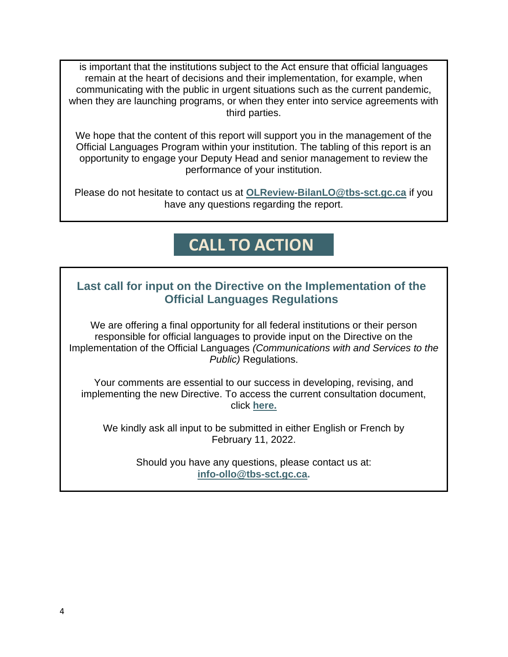is important that the institutions subject to the Act ensure that official languages remain at the heart of decisions and their implementation, for example, when communicating with the public in urgent situations such as the current pandemic, when they are launching programs, or when they enter into service agreements with third parties.

We hope that the content of this report will support you in the management of the Official Languages Program within your institution. The tabling of this report is an opportunity to engage your Deputy Head and senior management to review the performance of your institution.

Please do not hesitate to contact us at **[OLReview-BilanLO@tbs-sct.gc.ca](mailto:OLReview-BilanLO@tbs-sct.gc.ca)** if you have any questions regarding the report.

# **CALL TO ACTION**

## **Last call for input on the Directive on the Implementation of the Official Languages Regulations**

We are offering a final opportunity for all federal institutions or their person responsible for official languages to provide input on the Directive on the Implementation of the Official Languages *(Communications with and Services to the Public)* Regulations.

Your comments are essential to our success in developing, revising, and implementing the new Directive. To access the current consultation document, click **[here.](https://can01.safelinks.protection.outlook.com/?url=https%3A%2F%2Fview.officeapps.live.com%2Fop%2Fview.aspx%3Fsrc%3Dhttps%253A%252F%252Fwiki.gccollab.ca%252Fimages%252F5%252F55%252FConsultation_Directive_on_the_Implementation_of_the_OL_Regulations_EN.docx%26wdOrigin%3DBROWSELINK&data=04%7C01%7CMelanie.Ladouceur%40tbs-sct.gc.ca%7C197ae609cfb4463a9af608d9db4fc395%7C6397df10459540479c4f03311282152b%7C0%7C0%7C637781957890464220%7CUnknown%7CTWFpbGZsb3d8eyJWIjoiMC4wLjAwMDAiLCJQIjoiV2luMzIiLCJBTiI6Ik1haWwiLCJXVCI6Mn0%3D%7C3000&sdata=y0aTzs286IeK%2F6Bn5U72X7cqN2bsVXSjfP9uqCkJweg%3D&reserved=0)**

We kindly ask all input to be submitted in either English or French by February 11, 2022.

> Should you have any questions, please contact us at: **[info-ollo@tbs-sct.gc.ca.](mailto:info-ollo@tbs-sct.gc.ca)**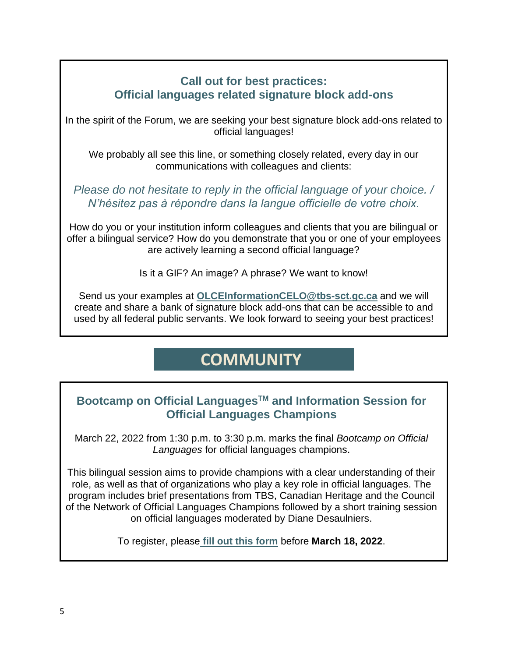### **Call out for best practices: Official languages related signature block add-ons**

In the spirit of the Forum, we are seeking your best signature block add-ons related to official languages!

We probably all see this line, or something closely related, every day in our communications with colleagues and clients:

*Please do not hesitate to reply in the official language of your choice. / N'hésitez pas à répondre dans la langue officielle de votre choix.*

How do you or your institution inform colleagues and clients that you are bilingual or offer a bilingual service? How do you demonstrate that you or one of your employees are actively learning a second official language?

Is it a GIF? An image? A phrase? We want to know!

Send us your examples at **[OLCEInformationCELO@tbs-sct.gc.ca](mailto:OLCEInformationCELO@tbs-sct.gc.ca)** and we will create and share a bank of signature block add-ons that can be accessible to and used by all federal public servants. We look forward to seeing your best practices!

# **COMMUNITY**

# **Bootcamp on Official LanguagesTM and Information Session for Official Languages Champions**

March 22, 2022 from 1:30 p.m. to 3:30 p.m. marks the final *Bootcamp on Official Languages* for official languages champions.

This bilingual session aims to provide champions with a clear understanding of their role, as well as that of organizations who play a key role in official languages. The program includes brief presentations from TBS, Canadian Heritage and the Council of the Network of Official Languages Champions followed by a short training session on official languages moderated by Diane Desaulniers.

To register, please **[fill out this form](https://forms.office.com/Pages/ResponsePage.aspx?id=EN-XY5VFR0CcTwMxEoIVK6RpiN7-50ROltzi-OrBcGdUMThTUFVZUEpGOFc1RzdRSDhBNE1XTDY3Ti4u)** before **March 18, 2022**.